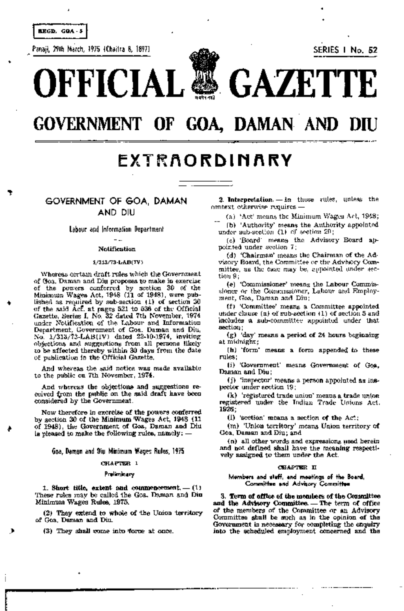**REGD. GOA - 5** 

c Panaji, 29th March, 1975 (Chaitra 8, 1897) SERIES I No. 52



•

# GOVERNMENT OF GOA, DAMAN AND

# EXTRAORDINARY

GOVERNMENT OF GOA. DAMAN AND DIU

> Labour and Information Department  $\overline{a}$

# Notification

## lj313/73-L.AJ3i(IV)

Whereas certain draft rules which the Government of Goa, Daman and Diu proposes to make in exercise. of the powers conferred by section 30 of the Minimum Wages Act, 1948 (11 of 1948), were published as required by sub-section (1) of section 30 of the said *Acl,* at pages 521 to 536 of the Official Gazette, Series I, No. 32 dated 7th November, 1974 under Notification of the Labour and Information Department, Government of Goa,· Daman and Diu, No. 1/313/73-LAB(IV) dated 22-10-1974, inviting objections and suggestions from all persons likely to be affected thereby within 30 days from the date of publication in the Official Gazette.

And whereas the said notice was made available to the public on 7th November, 1974.

And whereas the objections and suggestions received from the public on the said draft have been considered by the Government.

Now therefore in excretse of the powers conferred by section 30 of the'Minimum Wages Act, 1948 (11 of 1948), the Government of Goa, Daman and Diu is pleased to make the following rules, namely:  $-$ 

{ioa, Daman and Diu Minimum Wages Rules, 1975

# OHA.PTER I

#### Preliminary

 $1.$  Short title, extent and commencement.  $= (1)$ These rules may be called the Goa. Daman and Diu Minimum,Wages Ru1es, 1975.

(2) They extend to whole of the Union territory of Goa, Daman and Diu.

 $(3)$  They shall come into force at once.

2. Interpretation.  $-$  in these rules, unless the  $countext$  otherwise requires  $-$ 

(a) 'Act' means the Minimum Wages Act, 1948; (b) 'Authority' means the Authority appointed under sub-section  $(1)$  of section  $20$ ;

(c) 'Board' means the Advisory Board appointed under section 7;

(d) 'Chairman' means the Chairman of the Advisory Board, the Committee or the Advisory Committee, as the case may be, appointed under  $\pm e$ tion 9;

. (e)' 'Commissioner' means the' Labour Commissioner or the Commissioner, Labour and Employment, Goa, Daman and Diu;

(f) 'Committee' means a Committee appointed under clause (a) of sub-section (1) of section 5 and includes a sub-committee appointed under that section;

 $(g)$  'day' means a period of 24 hours beginning at midnight;

(h) 'form' means' a form appended to these rules;

(i) 'Government' means Government of Goa, Daman"and Diu;

(j)'inspector' means a person appointed as inspector under acction 19;

(k) 'registered trade union' means a trade union registered under the Indian Trade Unions Act, 19'26;

 $(1)$  'section' means a section of the Act;

(m) 'Union territory' means Union territory of Goa, Daman and Diu; and

(n) all other words and expressions used herein and not defined shall have the meaning respectively assigned to them under the Act.

#### OHAlP'T'.mR II

Members and staff. and meetings of the Board. Committee and Advisory Committee

3. Torm of office of the members of the Consmittee and the Advisory Committee. - The term of office of the members of the Committee or an Advisory Committee shall be such as in the opinion of the Government is necessary for completing the enquiry into the scheduled employment concerned and the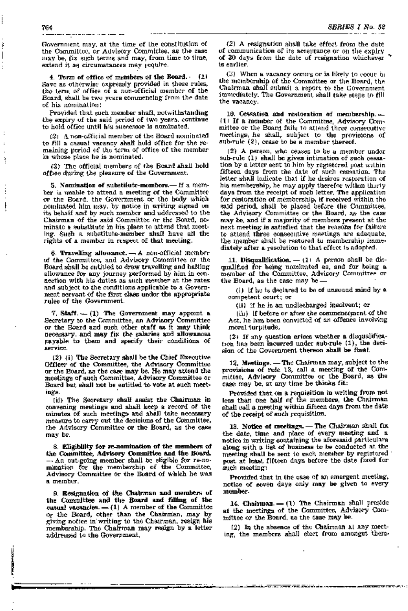Government may, at the time of the constitution of the Committee, or Advisory Committee, as the case may be, fix such terms and may, from time to time, extend it as circumstances may require.

4. Term of office of members of the Board.  $(1)$ Save as otherwise expressly provided in these rules, the term of office of a non-official member of the Board, shall be two years commencing from the date of his nomination:

Provided that such member shall, notwithstanding :the expiry of the said period of two years, continue to hold office until his successor is nominated.

 $(2)$  ,  $\Lambda$  non-official member of the Board nominated to fill a casual vacancy shall hold office for the remalning period of the term of office of the member in whose place he is nominated.

 $(3)$ . The official members of the Board shall hold office during the pleasure of the Government.

5. Nomination of substitute-members.- If a member is unable to attend a meeting of the Committee or the Board, the Gorvernment or the body which nominated him may, by notice in writing signed on its behalf and by such member and addressed to the Chairman of the said Committee or the Board, nominate a substitute in his place to attend that meeting. Such a substitute-member shall have all the rights of a member in respect of that meeting.

6. Travelling allowance.  $\rightarrow$  A non-official member of the Committee, and Advisory Committee or the Board shall be entitled to draw travelling and halting allowance for any journey performed by him in connection with his duties as such member at the rates and subject to the conditions applicable to a Government servant of the first class under the appropriate rules of the Government.

7. Staff.- (1) The Government may appoint a Secretary to the Committee, an' Advisory Committee or the Board and such other staff as it may' think necessary, and may fix the salaries and allowances payable to them and specify their conditions of service.

(2.) (i) The Secretary shall be the Chief Executive Officer of the Committee, the Advisory Committee or the Board, as the case may be. He may attend the meetings of such Committee, Advisory Committee or Board but shall not be entitled to vote at such meetings.

(ii) The Secretary shall assist the Chairman in convening meetings and shall keep a record of the minutes of such meetings and shall take necessary measure to carry out the decisions of the Committee, the Advisory Committee or the Board, as the case may be.

8. Eligibility for re-nomination of the members of the Oommittee, Advisory Committoo and the Board. - An out-going member shall be eligible for re-nomination for the membership of the Committee, Advisory Committee or the Board of which he was a member.

9. Resignation of the Chairman and members of the Committee and the Board and filling of the casual vacancies.  $-$  (1) A member of the Committee  $o<sub>r</sub>$  the Board, other than the Chairman, may by giving notice in' writing to the Chairman, resign his membership. The' Chairman, may resign' by a letter addressed to the Government.

(2) A resignation shall take effect from the date of communication of its acceptance or on the expiry of 30 days from the date of resignation whichever  $\cdot$  is earlier.

(3) When a vacancy occurs or is likely to coontring the membership of the Committee or the Board, the Chairman shall submit a report to the Government immediately. The Government shall take steps to fill the vacancy.

10. Cessation and restoration of membership. $-$ (1) If a member of the Committee, Advisory Committee or the Board fails to attend three consecutive meetings, he shall, srubject to the provisions of sub-rule (2), cease to be a member thereof.

(2) A person, who ceases to be a member under sub-rule  $(1)$  shall be given intimation of such cessation by a letter sent to him by registered post within fifteen days from the date of such cessation. The letter shall indicate that if he desires restoration of his membership, he may apply therefor within thirty days from the receipt of such letter. The application for restoration of membership, if received within the said period, shall be placed before the Committee, the' Advisory Committee or the Board, as the case may be, and if a majority of members present at the next meeting is satisfied that the reasons for failure to attend three consecutive meetings, are adequate, the member shall be restored to membership immediately after a resolution to that effect is adopted.

11. Disqualification.  $-11$  A person shall be disqualified for being nominated as, and for being a member of the Committee, Advisory Committee or the Board, as the case may be -  $\,$ 

(i) if he is declared to be of unsound mind by a competent court; or

(ii) if he is an undischarged insolvent; or

 $(iii)$  if before or after the commence pant of the Act, he has been convicted of an offence involving moral turpitude. ,

 $(2)$  if any question arises whether a disqualification has been incurred under sub-rule (1), the decision of the Gorvernment thereon shall be final.

12. Meetings. - The Chairman may, subject to the provisions of rule 13, call a meeting of the Committee, Advisory Committee or the Board, as' the case may· be, at any time he thinks fit:

Provided that on a requisition· in writing ftom not less than one half of the members, the Chairman shall call a meeting within fifteen days from the date of the receipt of such requisition.

13. Notice of meetings. - The Chairman shall fix the date, time and place of every meeting and a notice in writing containing the aforesaid particulars along with a list of husiness to be conducted at the meeting shall be sent to useful member by registered post at least fifteen days before the date fixed for such meeting:

Provjded that in the case of an emergent meeting, notice of seven days only may be given to every member.

14. Chairman. - (1) The Chairman shall preside at the meetings of the Committee, Advisory Committee or the Board, as the case may be.

 $(2)$  In the absence of the Chairman at any meeting, the members shall elect from amongst them-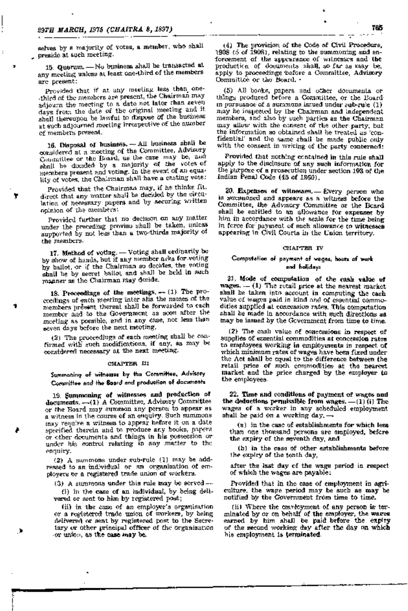selves by a majority of votes, a member, who shall .~ preside at such meeting.

15. Quorum. - No business shall be transacted at any meeting unless at least one-third of the members are present:

Provided that if at any meeting less than one--third of the members are present, the Chairman may adjourn the meeting to a date not later than seven. days from the date of the original meeting and it. shall thereupon be lawful to dispose of the business at such adjourned meeting irrespective of the number -of members present.

16. Disposal of business.  $-$ - All business shall be considered at a meeting of the Committee, Advisory. Committee or the Board, as the case may be, and shall be decided by a majority of the votes of members present and voting. In the event of an equality of vates, the Chairman shall have a castmg vote:

Provided that the Chairman may, if he thinks, fit, direct that any matter shall be decided by the circulation of necessary papers and by securing written opinion of the members:

Provided further that no decision on any matter under the preceding provisu shall be taken, unless supported by not less than a two-thirds majority of the members.

17. Method of voting. - Voting shall ordinarily be by show of hands, but if any member asks for voting by ballot, or if the Chairman so decides, the voting shall be by secret ballot and shall be held in such manner as the Chairman may decide.

18. Proceedings of the meetings. - (1) The proceedings of each ,meeting 'inter alia the names of the members present thereat shall be forwarded to each member and to the Government as soon after the meeting as possible, and in any case, not 1ess than seven days before the next meeting.

(2) The proceedings' of each meeting. shall be confirmed with such modifications, if any, as may be .conSJidered necessary at the next meeting.

#### CHAPTER LI

Summoning of witnesses by the Committee, Advisory Committee and the Board and production of documents

19. \$ummoning of Witnesses and production of -documents. -(1) A Committee, Advisory Committee or the Board may summon any person to appear as a witness in the course of an enquiry. Such summons may requilre a witness to appear before it on a date specified therein and to produce any books, papers or other documents and things in his possession or under his control relating in any matter to the enquiry.

(2) A summons under sub-rule (1) may be addressed to an individual or an organisation of employers or a registered trade union of workers.

(3) A summons under this rule may be served- (i) in the case of an individual, by being deli-

vered or sent to him by registered post;

(ii) in the case of an employer's organisation or a registered trade union of workers, by being delivered or sent by registered post to the Secretary or other principal officer of the organisation ·or union,as the case may be:

(4) The provistion of the Oode of Civil Procedure. 1908 (5 of 1908), relating to the summoning and enforcement of the appearance of witnesses and the' production of documents shall, so far as may be, apply to proceedings before a Committee, Advisory Oommittee or the Board. -

(5) All books, papers and other d'Ocuments or things produced before a Committee, or the Boardin pursuance of a summons issued under sub-rule  $(1)$ may be inspected by the Chairman and independent members, and also by such parties as the Chairman may allow with the consent of the other party, but the information so obtained shall be treated as 'confidential' and the same shall be made public only with the consent in writing of the party concerned:

Provided that· nothing contained in this rule shall apply to the disclosure of any such information for the purpose of a prosecution under section 193 of the Indian Penal Code (45 of 1860). .

20. Expenses of witnesses. - Every person who is summoned and appears as a witness before the Committee. the Advisory Committee or the Beard shall be entitled to an allowance for expenses by him in accordance with the scale for the time being in [c,rce fori payment of such allowance to witnesses appearing in Civil Courts in the Union territory.

#### CHAPTER IV

# Computation of payment of wages, hours of 'Work and holidays

21. Mode of computation of the cash value of wages.  $-$  (1) The retail price at the nearest market shall be taken into account in computing the cash value of wages paid in kind and of essential commodities supplied at concession rates. This computation shall be made in accordance with such directions as maybe issued by the Government from time to time;

(2). The cash value of concessions in respect of supplies of essential commodities at concession rates to employees working in employments in respect of which minimum rates of wages have been fixed under the Act shall be equal to the difference between the retail price of such commodities at the nearest market and the price charged by the employer to the employees.

22. Time and conditions of payment of wages and the deductions permissible from wages.  $\equiv$  (1) (i) The wages of a worker in any scheduled employment shall be paid ori a working day,-

(a) in the case of establishments for which less tlian one thousand persons are employed. befcre the expiry of the seventh day, and

(b) in the case of other establishments before the expiry of the tenth day,

after the last day of the wage period in respect of which the wages are payable:

Provided that in the case of employment in agri· culture, the wage period may be such as may be notified by the Government from time to time.

(ii) Where the employment of any person is terminated by or on behalf of the employer, the wares earned by him shall be paid before the expiry of the second working day after the day on which his employment is terminated.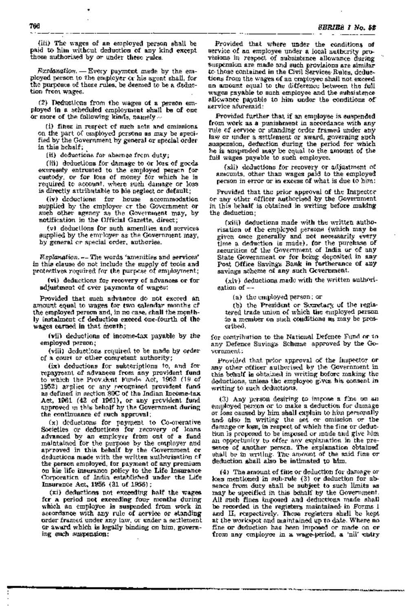(iii) The wages of an employed person shall be paid to him without deduction of any kind except those authorised by or under. these rules.

" *c* 

 $Explaination. - Every$  payment made by the employed person to the employer  $\alpha$  his agent shall, for the purposes of these rules, be deemed to be a deduction from wages.

 $(2)$  Deductions from the wages of a person employed in a scheduled employment shall be of one or more of the following kinds, namely  $\sim$ 

(i) fines in respect of such acts and omissions on the, part of employed persons as may be spedfiedby the Government by general or special order in this behalf;

(ii) deductions for absence from duty;

 $(iii)$ . deductions for damage to or loss of goods. expressly entrusted to the employed person for custody, Or for loss of money for which he is required to account, where such damage or loss is directly attributable to his neglect or default;

(iv) deductions for house accommodation supplied by the employer or the Government or such other agency as the Government may, by notification in the Official Gazette, direct;

(v) deductions for such amenities, and services supplied by the employer as the Government may, by general or special order, authorise.

Explanation. - The words 'amenities and services' in this clause do not include the supply of tools and protectives required for the purpose of employment;

(vi) deductions for recovery of advances or for  $\;$ adjustment of over payments of wages:

Provided' that such advances do not exceed an amount equal to wages, for two calendar months cf the employed person and, in no case, shall the monthly instalment cf deduction exceed one-fourth of the wages earned in that month;

(vii) deductions of income-tax payable by the employed person; ,

(viii) deductions required to be made by order of a court or other comretent authority;

(ix) deductions for subscriptions to, and for repayment of advances from any provident fund to which the Provident Funds Act, 1952 (19 of 1952) arplies or any recognised provident fund as defined in section 80C of the Indian Income-tax Act, 1961 (43 of 1961), or any prevident fund approved in this behalf by the Government during the continuance of such approval;

 $(x)$  deductions for payment to Co-operative Societies or deductions for recovery of loans advanced by an employer from out of a fund maintained for the purpose by the employer and aprroved in this behalf by the Government or deductions made with the written authorisation of the person employed, for payment of any premium on hisl life insurance policy to the Life Insurance Oorporation of India established under the Life Insurance Act, 1956 (31 of 1956) ;

(xi) deductions not exceeding half the wages for a period not exceeding four months during which an employee is suspended from work in accordance with any rule of service or standing Qrder Iframed under any law, or under a settlement or award which is legally binding on him, governing su:ch suspension.:

Provided that where under the conditions of service of an employee under a local authcrity provisions in respect of subsistence allowance during suspension are made and such provisions are similar to those contained in the Civil Services, Rules, deductions from the wages of an employee shall not exceed an amount equal to the difference between the full wages payable to such employee and the subsistence. allowance payable to him under the conditions of service aforesaid:

Provided further that if an employee is suspended from work as a punishment in accordance with any rule of service or standing order framed under any law or under a settlement or award, governing such suspension, deduction during the period for which he is suspended may be equal to the amount of the full wages payable to such employee.

(xii) deductions for recovery or adjustment of amcunts, other than wages paid to the employed person in error or in excess of what is due to him:

Provided that the prior approval of the Inspector or any other officer authorised by the Government in this behalf is obtained in writing before making' the deduction;

(xiii) deductions made with the written authorisation of the employed persons (which may be given once generally and not necessarily every time a deduction is made), for the purchase of  $\epsilon$  securities of the Government of India or of any State Government or for being deposited in any Post Office Savings Bank in furtherance of any savings scheme of any such Government.

 $(x|v)$  deductions made with the written authorisation of-

(a) the employed person; or

(b) the President or Secretary of the registered trade union of which the employed person to a member on such conditions as may be pres-Cr'lbed,

for contribution to the National Defence Fund or to any Defence Savings Scheme approved by the G0 vernment:

Provided that prior approval of the Inspector or any other officer authorised by the Government in this behalf is obtained in writing before making the deductions, unless the employee gives his consent in writing to such deductions.

 $(3)$  Any person desiring to impose a fine on an employed person or to make a deduction for damage or loss caused by him shall explain to him personally and also in writing the act or omission or the damage or loss, in respect of which the fine or deductionis proposed to be imposed or made and give him an opportunity to offer any explanation in the presence of another person. The explanation obtained shall be in writing. The amount of the said fine ordeduction shall also be intimated to him.

(4) The amount of fine or deduction for damage or loss mentioned in sub-rule (3) or deduction for absence from duty shall be subject to such limits as may be specified in this behalf by the Government. All such fines imposed and deductions made shall be recorded in the registers maintained in Forms I and II, respectively. These registers shall be kept at the workspotand maintained up to date. Where no fine or deduction has heen imposed or made on or. from any employee in a wage-period, a 'nil' entry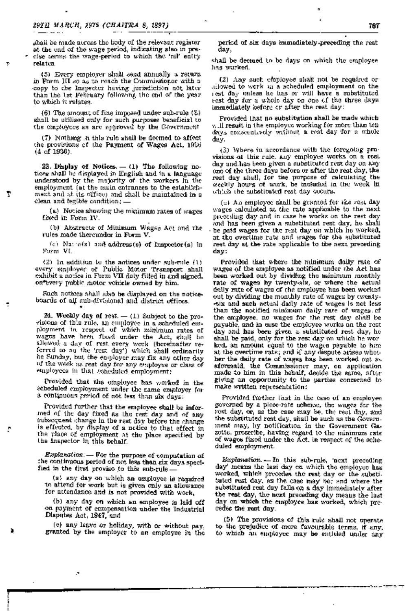T.

τ

shail be made across the body of the relevant register at the end of the wage period, indicating also in precise terms the wage-period to which the 'nil' entry relates.

(5) Every employer shall send annually a return in Form III so as to reach the Commissioner with a copy to the Inspector having jurisdiction not later than the let February following the end of the year to which it relates.

 $(6)$  The amount of fine imposed under sub-rule  $(3)$ . shall be utilized only for such purposes beneficial to the employees as are approved by the Covernment

(7) Nothing in this rule shall be deemed to affect the provisions of the Payment of Wages Act, 1956  $(4 \text{ of } 1936)$ .

23. Display of Notices.  $-$  (1) The following notices shall be displayed in English and in a language understood by the majority of the workers in the employment (at the main entrances to the establishment and at its office) and shall be maintained in a clean and legible condition; .

(a) Notice showing the minimum rates of wages Lized in Form IV.

(b) Abstracts of Minimum Wages Act and the rules made thereunder in Form V.

(c) Nature(s) and address(e) of Inspector(s) in Form VI.

 $(2)$  in addition to the notices under sub-rule  $(1)$ every employer of Public Motor Transport shall exhibit a notice in Form VII duly filled in and signed. on every public motor vehicle owned by him.

Such notices shall also be displayed on the noticeboards of all sub-divisional and district offices.

24. Weekly day of rest. - (1) Subject to the provisions of this rule, an employee in a schaduled employment in respect of which minimum rates of wages have been fixed under the Act, shall be sllowed a day of rest every week (hereinafter re-<br>ferred to as the 'rest day') which shall ordinarily be Sunday, but the employer may fix any other day of the week as reat day for any employee or class of employees in that scheduled employment;

Provided that the employee has worked in the scheduled employment under the same employer for a continuous period of not less than aix days:

Provided further that the employee shall be informed of the day fixed as the rest day and of any subsequent change in the rest day before the change is effected, by display of a netice to that effect in the place of employment at the place specified by the inspector in this behalf.

Explanation. - For the purpose of computation of the continuous period of not less than six days specified in the first proviso to this sub-rule.

(a) any day on which an employee is required to attend for work but is given only an allowance for attendance and is not provided with work.

(b) any day on which an employee is laid off on payment of compensation under the Industrial Disputes Act, 1947, and

(e) any leave or holiday, with or without pay, granted by the employer to an employee in the

period of six days immediately preceding the rest day,

shall be deemed to be days on which the employee has worked.

(2) Any such employee shall not be required or allowed to work an a scheduled employment on the est day unless he has or will have a substituted rest day for a whole day on one of the three days. immediately before or after the rest day:

Provided that no substitution shall be made which will result in the employed working for more than tendays consecutively without a rest day for a whole day.

(3) Where in accordance with the forcgotog provisions of this rule, any employee works on a rest day and has been given a substituted rest day on my one of the three days before or after the rest day, the rest day shall, for the purpose of calculating the weekly hours of work, he included in the week in which the substituted rest day occurs.

 $(\pm)$ . An employed shall be granted for the rest day wages calculated at the rate applicable to the next preceding day and in case he works on the rest day and has been given a substituted rest day, he shall be paid wages for the rest day on which he worked, at the overlime rate and wages for the substituted rest day at the rate applicable to the next preceding day:

Provided that where the minimum daily rate of wages of the employee as notified under the Act has been worked out by dividing the minimum monthly rate of wages by twenty-six, or where the actual delly rate of wages of the employee has been worked out by dividing the monthly rate of wages by ewenty--six and such actual daily rate of wages is not less than the notified minimum daily rate of wages of the employee, no wages for the rest day shall be payable, and in case the employee works on the rest day and has been given a substituted rest day, he shall be paid, only for the rest day on which he wor ked, an amount equal to the wages payable to him. at the overtime rate; and if any dispute arises whether the daily rate of wages has been worked out as aforesald, the Commissioner may, on application made to him in this behalf, decide the same, after giving an opportunity to the parties concerned to make written representation:

Provided further that in the case of an employee governed by a piece-rate achenoe, the wages for the rest day, or, as the case may be, the rest day, and the substituted rest day, shall be such as the Government may, by notification in the Government Gazette, prescribe, having regard to the minimum rate of wages fixed under the Act, in respect of the scheduled employment.

Explanation. - In this sub-rule, 'next preceding means the last day on which the employee has day' worked, which precedes the rest day or the substitailed rest day, as the case may be; and where the substituted rest day falls on a day immediately after the rest day, the next preceding day means the last day on which the employee has worked, which precedes the rest day.

(5) The provisions of this rule shall not operate to the prejudice of more favourable terms, if any, to which an employee may be entitled under any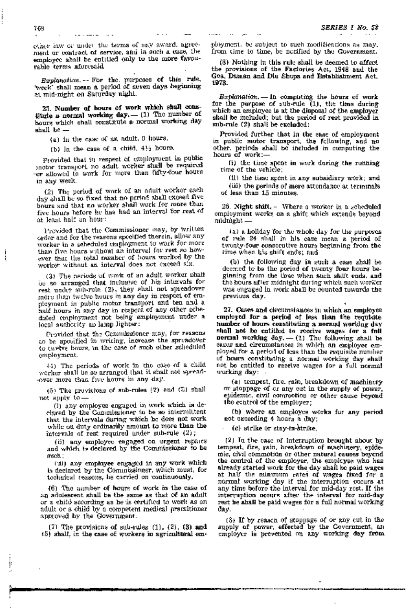ether law or under the terms of any award, agreement or contract of service, and in such a case, the employee shall be entitled only to the more favourable terms aforesaid.

Explanation. -- For the purposes of this rule, week' shall mean a period of seven days beginning at mid-night on Saturday night.

25. Number of hours of work which shall constitute a normal working day. - (1) The number of hours which shall constitute a normal working day shall be

(a) in the case of an adult. 9 hours.

(b) In the case of a child, 41h hours.

Provided that in respect of employment in public motor transport no adult worker shall be required or allowed to work for more than fifty-four hours in any week.

(2) The period of work of an adult worker each day shall be so fixed that no period shall exceed five hours and that no worker shall work for more than five hours before he has had an interval for rest of at least half an hour:

Provided that the Commissioner may, by written order and for the reasons specified therein, allow any worker in a scheduled employment to work for more than five hours without an intervel for rest so however that the total number of hours worked by the worker without an interval does not exceed six.

(3) The periods of work of an adult worker shall be so arranged that inclusive of his intervals for rest under sub-rule (2), they shall not spreadover more than twelve hours in any day in respect of employment in public motor transport and ten and a half hours in any day in respect of any other scheduted employment not being employment under a local authority as lamp lighter:

Provided that the Commissioner may, for reasons to be aposified in writing, increase the spreadover to twelve hours, in the case of such other scheduled employment.

 $(4)$  The periods of work in the case of a child worker shall be so arranged that it shall not spread--over more than five hours in any day.

(5) The providions of sub-rules  $(2)$  and  $(5)$  shall not apply to.

(i) any employee engaged in work which is declared by the Commissioner to be so intermittent that the intervale during which he does not work while on duty ordinarily amount to more than the intervals of rest required under sub-rule (2);

(ii) any employee engaged on urgent reparts and which is declared by the Commissioner to be asseb:

('ni) any employee engaged in any work which is declared by the Commissioner, which must, for technical teasons, he carried on continuously.

 $(6)$  The aumber of hours of work in the case of in adolescent shall be the same as that of an adult or a child according as he is certified to work as on adult or a child by a competent medical practitioner approved by the Government.

 $(7)$  The provisions of sub-rules  $(1)$ ,  $(2)$ ,  $(3)$  and (5) shall, in the case of workers in agricultural om-

Ŷ

obyment, be subject to such modifications as may, from time to time, be notified by the Government.

(8) Nothing in this rule shall be deemed to affect. the provisions of the Factories Act, 1948 and the Goa, Daman and Diu Shops and Establishment Act, 1973.

Explanation. - In computing the hours of work for the purpose of sub-rule  $(1)$ , the time during which an employee is at the disposal of the employer shall be included; but the period of rest provided in sub-rule (2) shall be excluded:

Provided further that in the case of employment in public motor transport, the following, and no other, periods shall be included in computing the hours of work:-

(b) the time spent in work during the running time of the vehicle;

(ii) the time spent in any subsidiary work; and (iii) the periods of mere attendance at terminals of less than 15 minutes.

26. Night shift,  $\sim$  Where a worker in a scheduled employment works on a shift which extends beyond midnight -

(a) a holiday for the whole day for the purposes of rule 24 shall in his case mean a period of twenty-four consecutive hours beginning from the time when his shift ends; and

(b) the following day in such a case shall be decreed to be the poriod of twenty four hours beginning from the time when such shift ends, and the hours after midnight during which such worker was engaged in work shall be counted towards the previous day.

27. Cases and chromodances in which an employee employed for a period of less than the requisite number of hours constituting a normal working day shall not be entitled to receive wages for a full normal working day. - (1) The following shall be cases and circumstances in which an employee employed for a period of leas than the requisite number of hours constituting a normal working day shall not be entitled to receive wages for a full normal working day:

(a) tempest, fire, rain, breakdown of machinery or stoppage of or any cut in the supply of power, epidemic, civil commotion or other cause beyond the control of the employer;

(b) where an employee works for any period not exceeding 4 hours a day;

(c) strike or stay-in-strike,

(2) In the case of interruption brought about by tempest, fire, rain, breakdown of machinery, epidemic, civil commotion or other natural causes beyond the control of the employer, the employee who has already started work for the day shall be paid wages at half the minimum rates of wages fixed for a normal working day if the interruption occurs at any time before the interval for mid-day rest. If the interruption occurs after the interval for mid-day rest he aball be paid wages for a full normal working day.

(3) If by reason of stoppage of or any out in the supply of power, effected by the Government, an employer is prevented on any working day from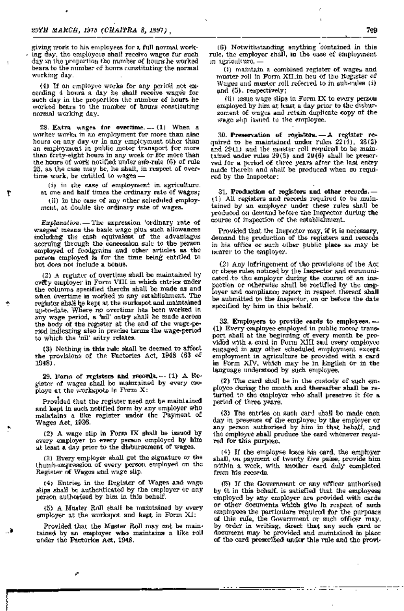giving work to his employees for a full normal work- . ing day, the employees shall receive wages for such day in the proportion the number of hours he worked bears to the number of hours constituting the normal working day.

(4) If an employee works for any period not exceeding 4 hours a day he shall receive wages for such day in the proportion the number of hours he worked bears to the number of hours constituting normal working day.

28. Extra wages for overtime.  $-$ - $(1)$  When a worker works in an employment for more than nine hours on any day or in any employment other than an employment in public motor transport for more than farty-eight hours in any week or for more than the hours of work notified under sub-rule (6) of rule 25, as the case may be, he shall, in respect of overtime work, be entitled to wages-

 $(i)$  in the case of employment in agriculture, at one and half times the ordinary rate of wages;

٣

(ii) in the case of any other scheduled employment, at double the ordinary rate of wages.

*Explanation.* - The expression 'ordinary rate of waeges' means the basic wage plus such allowances including the cash equivalent of the advantages accruing through the concession sale to the person employed of foodgrains and other articles as the person employed is for the time being entitled to but does not include a bonus.

(2) A register of overtime shall be maintained by every employer in Form VIII in which entries under the columns specified therein shall be made as and when overtime is worked in any establishment. The register shall be kept at the workspot and maintained up-to-date. Where no overtime has been worked in any wage period, a 'nil' entry shall be made across the body of the regrster at the end of the wage-period indicating also in precise terms the wage-period to which the 'nil' eritry relates.

(3 ) Nothing in this rule shall be deemed to affect the provisions of the Factories Act, 1948 (63 of 1948).

29. Form of registers and records.  $-$  (1) A Register of wages shall be maintained by every canploye at the workspots in Form  $X$ :

Provided that the register need not be maintained and kept in such notified form by any employer who maintains a like register under the Payment of Wages Act, 1936.

(2) A wage slip in Form IX shall be issued by every employer to every person employed by him at least a day prior to the disbursement of wages.

(3) Every employer shall get the signature or the . thumb-mapression of every person employed on the Register of Wages and wage slip.

(4) Entries in the Register of Wages and wage stips shall be authenticated by the employer or any person authorised by him in this behalf. .

(5) A Muster Roll shall be maintained by every employer at the workspot and kept in Form  $XI$ :

Provided that the Muster Roll may not be maintained by an emptoyer who maintains a like roll under the Factories Act, 1948.

(6) Notwithstanding anything contained in this rule, the employer shall, in the ease of employment in agriculture,-

(i) maintain a combined register of wages and muster roll in Form XII in heu of the Register of Wages and musicr roll referred to in sub-rules (i)  $and (5)$ , respectively;

 $(ii)$  issue wage slips in Form IX to every person employed by him at least a day prior to the disbursement of wages and retain duplicate copy of the wage slip issued to the employee.

30. Preservation of registers.  $-A$  register required to be maintained under rules 22(4), 28(2) and 29 (1) and the muster roll required to be maintained under rules  $29(5)$  and  $29(6)$  shall be preserved for a period of three years after the last entry .made therein and shall be produced when so required by the Inspector:

31. Production of registers and other records.-(1) All registers and records required to be maintained by an employer under these rules shall be produced on demand before the Inspector during the course of inspection of the establiaiment.

Provided that the Inspector may, if it is necessary, demand the production of the registers and records in his office or such other public place as may be nearer to the employer.

(2) Any inifringement of the provisions of the Act or these rules noticed by the Inspector and communicated to the employer during the course of an inspection or otherwise shall be rectified by the employer and compliance report in respect thereof shall be submitted to the Inspector, on or before the date specified by him in this behalf.

32. Employers to provide cards to employees.  $-$ (1) Every employee employed in public motor transport shall at the beginning of every month be provided with a card in Form XIII and every employee engaged in any other scheduled employment except. employment in agriculture be provided with a card in Form XIV, which may be in English or in the language understood by such employee.

 $(2)$  The card shall be in the custody of such employee during the month and thereafter shall be returned to the employer who shall preserve it for a period of three years.

 $(3)$  The entries on such card shall be made each day in presence of the employee by the employer or any person authorised by him in that behalf, and the employee shall produce the card whenever required for this purpose.

(4) If the employee loses his card, the employer shall, on payment of twenty five paise, provide him within a week, with another eard duly completed from his reoords.

(5) If the Government or any officer authorised by it in this behalf, is satisfied that the employees employed by any employer are provided with cards or other documents which give in respect of such employees the particulars required for the purposes 01£ this rule, the Government or such officer may, by order in writing, direct that any such card, or document may be provided and maintained in place of the card prescribed under this rule and the provi-

ಕಾಟು ಮುಂ

. "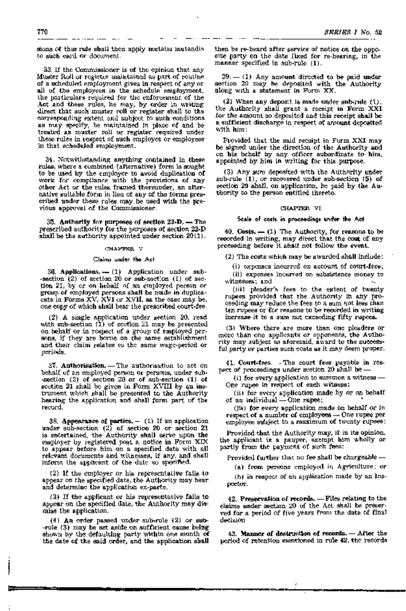sions of this rule shall then apply mutatis mutandis to such card or document.

33. If the Commissioner is of the opinion that any Muster Roll or register maintained as part of routine. of a scheduled employment gives in respect of any or all of the employees in the schedule employment, the particulars required for the enforcement of the Act and these rules, he may, by order in writing direct that such muster roll or register shall to the corresponding extent and subject to such conditions as may specify, be maintained in place of and be treated as muster roll or register required under these rules in respect of such employee or employees in that scheduled employment.

34. Notwithstanding anything contained in these rules, where a combined (alternative) form is sought to be used by the employer to avoid duplication of work for compliance with the provisions of any other Act or the rules framed thereunder, an alternative suitable form in lieu of any of the forms prescribed under these rules may be used with the previous approval of the Commissioner.

 $35.$  Authority for purposes of section  $23$ -D.  $-$  The prescribed authority for the purposes of section 22-D shall be the authority appointed under section  $20(1)$ .

## CHAPTER V

#### Claims under the Act

36. Applications.  $-$  (1) Application under sub--section (2) of section 20 or sub-section (1) of section 21, by or on hebalf of an employed person or group of employed persons shall be made in duplicacate in Forms  $\bar{X}V$ ,  $\bar{X}VI$  or  $XVII$ , as the case may be, one copy of which shall bear the prescribed court-fee.

 $(2)$  A single application under section 20, read with  $m$ b-section  $(1)$  of section 21 may be presented on behalf or in respect of a group of employed persons, if they are borne on the same establishment. and their claim relates to the same wage-period or periods.

 $37.$  Authorisation.  $-$  The authorisation to act on behalf of an employed person or persons, under sub--section (2) of section 20 or of sub-section (1) of section 21 shall be given in Form XVIII by an instrument which shall be presented to the Authority hearing the application and shall form part of the recQrd.

38. Appearance of parties.  $-$  (1) If an application under sub-section  $(2)$  of section 20 or section  $21$ is entertained, the Authority shall serve upon the employer by registered post a notice in Form XIX to appear before him on a specified date with all relevant documents and witnesses, if any, and shall inform the applicant of the date so specified.

 $(2)$  If the employer or his representative fails to appear on the specified date, the Authority may hear and determine the application ex-parte.

 $(3)$  If the applicant or his representative fails to appear on the specified date, the Authority may dismiss the application.

 $(4)$  An order passed under sub-rule  $(2)$  or sub--rule (3) may be set aside on sufficient cause being shown by the defaulting party within one month of the date of the said order, and the application shall

then be re-heard after service of notice on the opposite party on the date fixed for re-hearing, in the manner specified in sub-rule (1).

 $39. - (1)$  Any amount directed to be paid under section 20 may be deposited with the Authority along with a statement in Form XX.

(2) When any deposit is made under sub-rule  $(1)$ , the Authority shall grant a receipt in Form XXI for the amount so deposited and this receipt shall be a sufficient discharge in respect of amount deposited .<br>With him:

Provided that the said recuipt in Form XXI may be signed under the direction of the Authority and .on his behalf by any officer subordinate to him, appointed by him in writing for this purpose.

(3) Any sum deposited with the Authority under sub-rule  $(1)$ , or recovered under sub-section  $(5)$  of section 20 shall, on application, be paid by the Authority to the person entitled thereto.

## CHAPTER VI

## Scale of costs in proceedings under the Act

 $40.$  Costs.  $(1)$  The Authority, for reasons to be recorded in writing, may direct that the cost of any proceeding before it shall not follow the event.

 $(2)$  The costs which may be awarded shall include:

 $(i)$  expenses incurred on account of court-fees; (ii) expenses incurred on subsistence money to witnesses; and

(iii) pleader's fees to the extent of twenty rupees provided that the Authority in any proeeeding may reduce the fees to a sum not less than ten rupees or for reasons to be recorded in writing increase it to. a sum not exceeding fifty rupees.

(3) Where there are more than one pleaders or more than one applicants or opponents, the Authority may subject as aforesaid, award to the successful party or parties such costs as it may deem proper.

41. Court-fees. - The court fees payable in respect of proceedings under section  $20$  shall be -

(i) for every application to summon a witness  $-$ One rupee in respect of each witness:

(ii) for every application made by or on behalf of an individual-One rupee;

(iii) for every application made on behalf or in  $r$ espect of a number of employees  $-$  One rupee per employee subject to a maximum of twenty rupees:

Provided that the Authority may, if in its opinion, the applicant is a pauper, exempt him whQlly or partly from the payment of such fees:

Provided further that no fee shall be chargeable  $-$ 

(a) from persons employed in Agriculture; or

(b) in respect of an application made by an Inspectolr.

 $42.$  Preservation of records.  $-$  Files relating to the clatims under section 20 of the Act shall be preserved for a period of five years from the date of final decision

43. Manner of destruction of records. - After the period of retention mentioned in rule 42, the records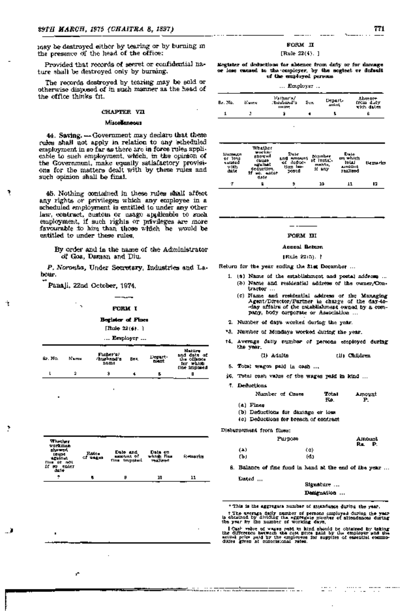may be destroyed either by tearing or by burning in the presence of the head of the office:

Provided that records of secret or confidential nature shall be destroyed only by burning.

The records destroyed by tearing may be sold or otherwise disposed of in such manner as the head of the office thinks fit.

# **CHAPTER VIL**

# Miscellaneous

44. Saving. - Government may declare that these rules shall not apply in relation to any scheduled employment in so far as there are in force rules applicable to such employment, which, in the opinion of the Governmunt, make equally satisfactory provisions for the matters dealt with by these rules and such opinion shall be final.

45. Nothing contained in these rules shall affect any rights or privileges which any employee in a scheduled employment is entitled to under any other law, contract, custom or usage applicable to such employment, if such rights or privileges are more favourable to him than those which he would be entitled to under these rules.

By order and in the name of the Administrator of Goa, Daman and Diu.

P. Noronha, Under Secretary, Industries and Labour.

Panali, 22nd October, 1974.

÷,

#### **FORM T**

#### Bothter of Fines

# [Rule  $22(4)$ .]

... Employer ...

| 61. No. | Namy. | Father's!<br>/husbno4's<br><b>DEMO</b> | Bez, | Depart-<br>mat | Mattire<br>and date of<br>the offense.<br><b>Rhinn</b><br>tor<br>tive imposed |
|---------|-------|----------------------------------------|------|----------------|-------------------------------------------------------------------------------|
|         | 2     |                                        |      |                |                                                                               |
|         |       |                                        |      |                |                                                                               |

| Whether<br>VONTIMAD<br>showed.<br><b>18434</b><br>turninut.<br>Num út m0L<br>if no enter<br>da le | Rotes.<br>of watch | Date and<br><b>LEE-URI OF</b><br>fine impossible | Data on<br>which flas<br><b>TAA</b> HEAT | Retrastics |
|---------------------------------------------------------------------------------------------------|--------------------|--------------------------------------------------|------------------------------------------|------------|
| ٠                                                                                                 |                    | B                                                | 10                                       | 11         |

#### **ROBM IT**

#### [Rule  $22(4)$ .]

Englater of deductions for absence from daty or for damage or lose caused to the compleyer, by the seginet or default of the employed persons.

| $\ldots$ Employer $\ldots$ |  |
|----------------------------|--|
|                            |  |

| Br. No. | Nums. | Valhor's/<br>: bushard'a<br><b>IIH 그런</b> | Sex. | Departs<br>anini, | Absence<br>from duty<br>with dates |
|---------|-------|-------------------------------------------|------|-------------------|------------------------------------|
|         |       |                                           |      |                   |                                    |

| <b>Liumagn</b><br>or 10%<br>cultied<br>with<br>date. | Whither<br>wuckar.<br><b>ENOWHA</b><br>свиды<br><b>Harlbet</b><br>deduriim.<br>wa, eatar<br>date | Date<br>rmount<br><b>BNd</b><br>deduc-<br>úť<br>tion les-<br>20000 | Number<br>of Install-<br>mahis.<br>it any | Date<br>om which<br><b>total</b><br><b>انت</b> ان مید<br><b>Thallend</b> | <u>tlemerka</u> |
|------------------------------------------------------|--------------------------------------------------------------------------------------------------|--------------------------------------------------------------------|-------------------------------------------|--------------------------------------------------------------------------|-----------------|
| σ                                                    |                                                                                                  | 9                                                                  | 10                                        | 11                                                                       | 12              |

#### FORM UI

#### **Accord Botom**

#### [Rule 22(5). }

Return for the year coding the 31st December ...

- 1. (a) Name of the establishment and postal address ... (b) Name and residential address of the owner/Contractor ...
	- (c) Name and residential address of the Managing Agent/Director/Partner in charge of the day-today affairs of the establishment owned by a company, body corporate or Association.
- 2. Number of days worked during the year.
- '3. Number of Mondays worked during the year.
- t4. Average datty number of persons employed during the year.

(1) Adults (B) Children

- 5. Total wages paid in cash ...
- $36$ . Total cost value of the wages paid in kind ...
- 7. Deductions

| Number of Cases | Total | Amount |
|-----------------|-------|--------|
|                 | Εø.   |        |
| (a) Fines       |       |        |

(b) Deductions for damage or loss

(c) Deductions for breach of condrast

Dishursement from flues:

|     | Рш рож | <b>Alliount</b><br>P.<br>Rs. |
|-----|--------|------------------------------|
| (4) | (c)    |                              |
| ťЫ  | (d)    |                              |

8. Balance of fine fund in hand at the end of the year ...

Dated ...

Signature ... Designation ...

\* This is the aggregate number of attandance during the year.

f The average delig number of persons employed during the year-<br>is obtained by dividing the eggregate number of altendances during<br>the year by the number of working days,

Cash value of wayse paid in kind should be obtained by taking the difference between the cast proce paid by the employer such the antibological state of the employer such the employer such that difference of concentrationa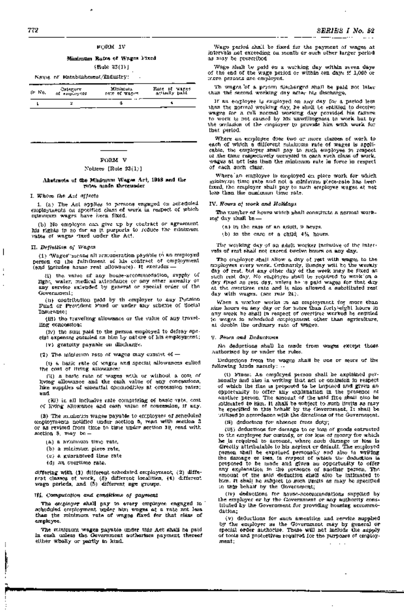Minimum Rates of Wages Fixed

[Rule 23(i)]

Name of Establishment/Industry:

| ⊷<br>d⊢ No. | Calegory<br>of employers | Minitouta<br>FACE OF WEBPS. | Rate of wares<br>selledly polit |
|-------------|--------------------------|-----------------------------|---------------------------------|
|             |                          |                             |                                 |

# FORM V

#### Notices [Rule  $23(1)$ ]

#### Abstracts of the Minimum Wages Act, 1948 and the rules made thereunder

I. Whom the Act affects

1. (a) The Act applies to persons engaged on scheduled employments on spocified class of work in respect of which minumum wages have been fixed.

(b) No employee can give up by contract or agreement his rights in so far as it purports to reduce the minimum rates of wages ~ixed under the Act.

#### n. Definitwn *Of* Wages

I

÷

(1) 'Wages' means all remuneration payable to an employed person on the fulfillment of lils contract of employment<br>(and includes howe rent allowance). It excludes —

(i) the value of any house-accommodation, supply of light, water, medical attendance or any other amenity or any service extended by general or special order of the Government;

(ii) contribution paid by th employer to any Pension Fund or Provident Fund or under any scheme of Social Insurance; ,

(iii) the travelling allowance or the value of any travelling concession;

(iv) the sum paid to the person employed to defray special expenses entailed on him by nature of his employment;

(v) gratuity payable on discharge.

(2) The minimum rate of wages may consist of  $-$ 

(1) a basic rate of wages and special allowances called the cost of living allowance;

(ii) a basic rate of wages with or without a cost of living allowance and the cash value of any concessions, like supplies of essential cpmmodities at concession rates; and

(H) in all inclusive rate comprising of basic vata, cost, of living allowance and cash value of concession, if any.

(3) The minimum wages payable to employees of scheduled employments notified under section 5, read· with section 3 or as revised from time to time under section 10, read with section 3, may be-

- (a) a minimum time rate,
- (b) a minimum piece rate,
- (c) a guaranteed time rate,
- (d) an overtime rate.

differing with (1) different scheduled employment, (2) different classes of work, (3) different localities, (4) different wage periods, and (5) different age groups.

# III. Oomputation ana conditions of payment

The employer shall pay to every employee engaged in . scheduled employment under him wages at a rate not less than the minimum rate of wages fixed for that class of employee. .

The min'imum wages payable under this Act shall be paid in cash unless the Government authorises payment thereof either wholly or partly in kind.

Wage period shall be fixed for the payment of wages at interV'als not exceeding on month or such other larger period as may be prescribed.

Wage shall be paid on a working day within seven days of the end of the wage period or within ten days if 1,000 or more persons are employed.

Th wages 'of . a person discharged shall be paid not later than the second working day after his discharge.

If an employee is employed on any day for a period less than the normal working day, he shall be entitled to deceive wages for a full normal working· day provided his failure to work is not caused by his unwillingness to work but by the omlasion of the employer to provide him with work for that period.

Where an employee does two or more classes of work to each of which a different minimum rate of wages is applicable, the employer shall pay to such employee in respect of the time respectively occupied in each such· class of work, wages at not less than the minimum rate in force in respect of each such class.

Where' an employee is employed on piece work for which minimum time rate and not a mirumum piece-rate has been fixed, the employer shall pay to such employee wages at not leSS than the mirumum time rate.

#### IV; Hours of work and. Ho'lidays

The number of hours which shall constitute a normal working- day shall be - . '

 $(n)$  in the case of an adult, 9 hours.

(b) in the case of a child, 4% hours.

The working day of an adult worker inclusive of the intervals of rest shall not exceed twelve hours on any day.

The employer shall allow a day of rest with wages to the employees every week. Ordinarily, Sunday will be the weekly day of rest; but any other day of the week may be fixed as such rest day. No employee shall be required to workion a<br>day fixed as rest day, unless he is paid wages for that day at the overtime rate and is also allowed a substituted rest day with wages. (see rule 24).

When a worker works in an employment for more than nine hours on 8my day or for more than forts eight hours in any week he shall in respect of overtime worked be entitled to wages in scheduled employment other than agriculture, at double the ordinary' rate of wages.

#### V. Fitnes ana Deductions

No deductions shall be made from wages except those authorised by or under the rules.

Deductions from the wages shall be one or more of the following kinds namely: -

(i) Fines: An employed person shall be explained personally and also in writing that act or omission in respect of which the fine is proposed to be imposed. and given an opportunity to offer any explanation in the presence of another person. The amount of the said fine shall Blso be intimated to him. It shall be subject to such limits as may be specified in this behalf by the Government. It shall be utilised in accordance with the directions of the Government.

(li) deductons for absence from duty;

(iii) deductions for damage to or loss of goods entrusted to the employee for custody, or for loss of money for which he is required to account, where such damage or loss is directly attributable to his neglect or default. The employed person shall be expained personally and also in writing the damage or loss, in averset of which the deduction is proposed to be made and given an opportunity to offer any explanation in the presence of another person. The amount of the said deduction shall also be intimated to him . It shall he subject to such limits as may be specified in this behalf by the Government;

(iv) deductions for house-accommodations supplied by the employer or by the Government or any authority consitituted by the Government for providing housing accommo-<br>dation;

(v) deductions for such amentties and service supplied by the employer as the Government may by general or special order authorise. These will not include the supply of tools and protectives required for the purposes of employmeIlt; .. " . " '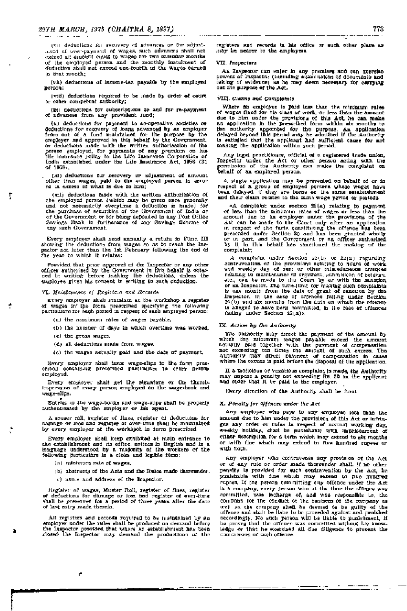(vi) deductions for recovery of advances or for adjustment of over-payment of wages, such advances shall not exceed an amount equal to wages for two calendar months of the employed . person and the monthly instalment of deduction shall not exceed one-fourth of the wages earned. in that month;

(vii) deductions of income-tax payable by the employed person;

(vill) deductions required to be made by order of court or other competent authority;

(ix) deductions for subscriptions to and for re-payment of advances from any provident fund;

(x) deductions for payment to co-operative societies or deductions for recovery of loans advanced by an employer from' out of a fUnd maintained. for the purpose by the employer and approved in this behalf by the Government, or deductions made with the written authorisation of the person employed, for payments of any premium . on his life insurance policy to the Life Insurance Corporation of India established under the Life Insurance Act, 1956 (31 of 1956); .

(xi) deductions for recovery or adjustment of amount other than wages, paid to the employed person in error or in excess of what is due to him;

 $(x_i)$  deductions made with the written authorization of the employed person (which may be given once generally and not necessarily every time a deduction is made) for of the Government or for being deposited in any Post Office Savings Bank in furtherance of any Savings Scheme of any such Government.

Every employer shall send annually a return in Form III showing the deductions from wages so as to reach the Inspector not later than the 1st February following the end of' the year to which it relates:

Provided that prior approval of the Inspector or any other officer authorised by the Government in this behalf is obtained in writing before making the deductions, unless the e..gployee gives his consent in writing to such deduction.

VI. Maintenance of Registe'l's and Records

Every employer shal1 maintain at the workshop a register of wages in the form prescribed specifying the following particulars for each period in respect of each employed person:

(a) the manimum rates of wages payable,

(b) the number of days in which overtime was worked,

(c) the g;ross wages,

Ţ

(d) all deductions made from wages,

(e) the wages actually paid and the date of payment,

Every employer shall issue wage-slips in the form prescribed containing prescribed particulars to every person employed.

Every employer shall get the signature or the thumbimpression of every person employed on the wage-book and wage-block

Entries in the wage-books and wage-slips shall be properly authenticated by the employer or his agent.

A muser roll, register of fines, register of deductions for. damage or loss and register of over-time shall be maintained by every employer at the workspot in form prescribed.

Every employer shall keep exhibited at main entrance to the establishment and its office, notices in English and in a language understood by a majority of the workers of the following particulars in a clean and legib1e form:

(a) minimum rate of wages,

r.

 $(b)$  abstracts of the Acts and the Rules made thereunder.

(c) name and address of the Inspector.

Register of wages, Muster Roll, register of fines, register of deductions for damage or loss and register of over-time shall be preserved for a period of three years after the date of last entry made therein.

All registers and records required to be maintained by an employer l.!~der the rules shall.be produced on demand before tihe Inspector proVIded that where an, establishment has been closed the Inspector may demand the productions of the

registers and records in his office or such other place as may be nearer to the employers.

#### VII. Inapectors

An Inspector can enter in any premises and can exercise powers of Inspector (including examination of documents and taking of evidence) as he may deem necessary. for carrying out the purpose of the Act.

VIII. Claims and Complaints

Where an employee is paid less than the minimum rates of wages fixed for his c'lass of work,'or less than the amount due to him under the provisions of this Act, he can make an application in the prescribed form within six months to the authority appointed for the purpose. An application delayed beyond this period may be admitted if the Authority is satisfied that the applicant had sufficient cause for not making the application within such period.

Any legal practitioner, official of a registered trade union, Inspector under the Act or other person acting with the permission of the Authority can make the complaint on behalf of an employed person.

A single application may be presented on behalf of or in respect of a group of employed persona whose wages have been deiayed, if they are borne on the same establishment and their claim relates to the same wage period or periods.

«A complaint under section 22(a) relating to payment of less than the minimum rates of wages or less than the amount due to an employee under the provisions of the Act, can be made to the Court only after an application in respect of the facts constituting the offence has been presented under Section 20 and has been granted wholly or in part, and the Government or an officer authorised by it in this behalf has sanctioned the making of the complaint; . ,

\_:A. complaint under Section 22(b) or 22(a) regarding contravention of the provisions relating to hours of work and weekly day of rest or other miscellaneous offences relating to maintenance of registers, submission of returns, etc;, can be made to the Court by or with the sanction of an Inspector. The time-limit for making such complaints is one month from the date of grant of sanction by the Inspector, in the case of offences falling under Section 22(b) and six months from the date on which the offence is alleged to have been committed, in the case of offences failing under Section 22(a)>.

#### IX. Action by the Authority

The suthority may direct the payment of the amount by which the minimum wages payable exceed the amount actually. paid together with the payment of compensation not exceeding ten times the amount of such excess. The Authority may direct payment of compensation in cases where the excess is paid before the disposal of the application.

If a malicious or vexatious complaint is made, the AuthOrity may impose a penalty not exceeding Rs. 50 on the applicant and order that it be paid to the employer.

,Every direction of the Authority shall be final.

#### X. Penalty for offences under the Act

Any employer who pays to any employee less than the amount due to him under the provisions of this Act or infringes any order or rules in respect of normal working day. weekly holiday, shall be punishable with imprisonment of either description for a term which may extend to six months or with fine which may extend to five hundred rupees or with both.

Any employer who contravenes any provision of the Act or of any rule or order made thereurider shall, if no other penalty is provided for such contravention by the Act, be punishable with fine which may extend to five hundred rupees. If the person committing any offence under the Act is a company, every person who at the time the offence was committed, was incharge of, and was responsible to, the company for the conduct of the business of the company as well as the company shall be deemed to be guilty of the offence and shall be liabe to be proceded against and punished accordingly. No such person will be 'liable to punishment, if he proves that the offence was committed without his knowledge or that he exercised all due diligence to prevent the commission of such offence.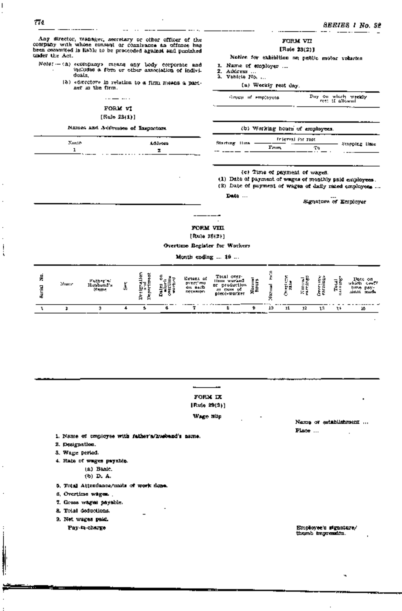Any director, manager, secretary or other officer of the company wlth whose consent or connivance an offence has been commited is liable to be proceeded against and punished 'under the Act.

*. Note:* - (a) «company» means any body corporate and includes a firm 01' ofu6r association of individuals, 2. Address a firm or other association of indivi-<br>duals, 3. Vehicle No...<br>(b) «director» in relation to a firm means a part-<br>(b) «director» in relation to a firm means a part-

 $\cdots$ 

Notice the firm. (a) Weekly rest day.

# FORM VI

. .. .

# [Rule 23(1)]

#### Names and Ad(lresses of Inspectors

| Nurato.   | Address      |
|-----------|--------------|
|           | z            |
| $\ddotsc$ | . . <b>.</b> |
|           |              |

# FORM vn [Rule 23(2)]

Notice for exhibition on public motor vehicles 1. Name of employer ...<br>2. Address ...<br>3. Vahicle No. ... Group of employees Day on which weekly rest if allowed (b) Working hours of employees. Starting Hine  $\frac{\text{Frequency of } \text{for rate}}{\text{Form}}$  Stopping time From To

(e) Time of payment of wages.

(1) Date of payment of wages of monthly paid employees ...

 $(2)$  Date of payment of wages of daily rated employees ...

Date ...

Signature of Employer

# FORM VIII

,.

[Rule 28(2)]

Overtime Register for Workers

Month ending ... 19 ...

| z | Nume | 11 miluttu <sup>n</sup><br>Mame. | w. | ᆸ<br>-<br> | e | Exter of<br>pvertimu.<br>an each<br>DECHRIDD | Total over-<br>Папи мигамб<br>production<br>ᇚ<br>ан саан<br>plete-worker | 통도 | r. | ε,<br>×. | 로질<br>$- \cdot -$ | н. | llote on<br>orv. IV<br>PAT.<br><b>THO.</b> |
|---|------|----------------------------------|----|------------|---|----------------------------------------------|--------------------------------------------------------------------------|----|----|----------|-------------------|----|--------------------------------------------|
|   |      |                                  |    |            |   |                                              |                                                                          |    | 11 |          |                   | ŀŀ |                                            |



[Rule 29(2)]

Wage Slip

Name of establishment ... Place ...

1. Name of employee with father's/husband's name.

- 2. Designation.
- S. VVage period.
- 4. Rate of wages payable.
	- (a) Basic.
		- (b) D. A.
- 5. Total Attendance/units of work done.
- 6. Overtime wages •.
- 7. Gross wages payable.
- 8. Total deductions.
- 9. Net wages paid.
	- Pay-in-charge

Employee's signature/ thumb impression.

į i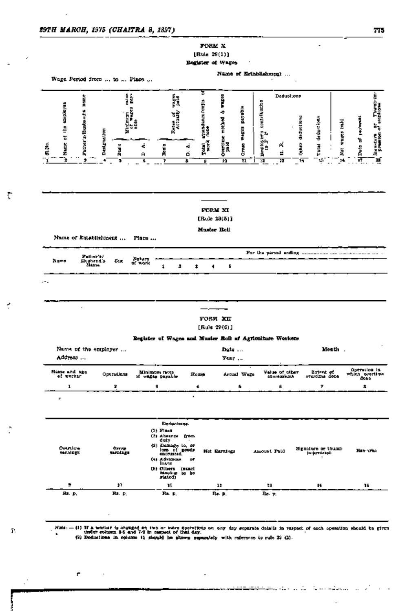$\overline{a}$ 

Ť

ł

÷,

ſ.

ċ

l,

# FORM X [Rule  $29(1)$ ]

Register of Wages

Name of Establishment

| <b>Hance</b>                          |                     |                                           |                                                                                |        | ष्ठ                      |                                   |                         |                                                      | Deductions                      |             |                                             |                |                                           |                                               |
|---------------------------------------|---------------------|-------------------------------------------|--------------------------------------------------------------------------------|--------|--------------------------|-----------------------------------|-------------------------|------------------------------------------------------|---------------------------------|-------------|---------------------------------------------|----------------|-------------------------------------------|-----------------------------------------------|
| of the employee<br>Putter's/liverants | Delynation          | Į,<br>z<br>មារដ្ឋាននេះ<br>១៥ ទង្គន<br>១៦៦ | Ã<br>Raten of 7                                                                |        | atit Mancoranjia<br>doce | İ<br>٠<br>Overtime worked<br>paid | Myada<br><b>RAKES</b>   | <b>DEEMALLING</b><br>$\mathcal{R}_{\mathbf{A}}$<br>ł | A.                              | drchuntiona | declumions                                  | Mat wages hald | Data of payment                           | Stendard on Thembram<br>greening of sidelayee |
| Name<br>Z                             | ă                   | ċ<br>А                                    | Baric<br>B                                                                     | 4<br>ó | Territ<br>Først          |                                   | C.Two                   | Paperest<br>Angle                                    | ś                               | .<br>Bez    | Total                                       |                |                                           |                                               |
| ż<br>ŧ                                | 5                   | 6                                         | 7                                                                              | \$     | ₽                        | 14                                | $\overline{\mathbf{H}}$ | Ŧ                                                    | 13                              | ল<br>       | 변                                           | 14             | īŦ                                        | ï                                             |
|                                       |                     |                                           |                                                                                |        |                          | FORM XI                           |                         |                                                      |                                 |             |                                             |                |                                           |                                               |
|                                       |                     |                                           |                                                                                |        | [Rule $29(5)$ ]          |                                   |                         |                                                      |                                 |             |                                             |                |                                           |                                               |
| Name of Establishment                 |                     | <b>Flate</b>                              |                                                                                |        | Musice Boll              |                                   |                         |                                                      |                                 |             |                                             |                |                                           |                                               |
| Futber's?                             |                     |                                           |                                                                                |        |                          |                                   |                         |                                                      |                                 |             |                                             |                |                                           |                                               |
| Name<br>Husband's<br>Nama             | Eex                 | inatura<br>of work                        | 1<br>л                                                                         | ŧ      | ۹                        | Б                                 |                         |                                                      |                                 |             |                                             |                |                                           |                                               |
|                                       |                     |                                           |                                                                                |        | $[Rul]$ $29(6)$ ]        | <b>FORM XII</b>                   |                         |                                                      |                                 |             |                                             |                |                                           |                                               |
|                                       |                     |                                           | Register of Wages and Musics Roll of Agriculture Workers                       |        |                          |                                   |                         |                                                      |                                 |             |                                             |                |                                           |                                               |
| Name of the employer<br>Address       |                     |                                           |                                                                                |        |                          | Date<br>Year                      |                         |                                                      |                                 |             |                                             | Month .        |                                           |                                               |
| of worker                             | Operations          |                                           | Minimum races<br>if wagan payahlu                                              |        | Roum                     |                                   | Actual Wage             |                                                      | Value of closr<br>court to keep |             | Extent of<br>nvertima done                  |                | Operation in<br>ल्कारिक अन्नतीयस<br>काउंट |                                               |
| Name and age<br>ı                     | э                   |                                           | 9                                                                              |        | ۰                        |                                   | 6                       |                                                      | B                               |             | 7                                           |                | 8.                                        |                                               |
| г                                     |                     |                                           |                                                                                | ٠      |                          |                                   |                         |                                                      |                                 |             |                                             |                |                                           |                                               |
|                                       |                     |                                           | Deriustrang.<br>$(1)$ Find<br>(2) Absunce (roca<br>duly                        |        |                          |                                   |                         |                                                      |                                 |             |                                             |                |                                           |                                               |
| Ortalicas<br>earnings                 | Grove,<br>saraing s |                                           | (3) Demegy to, or<br>loss of poets<br><b>IDIRMIAL</b><br>(4) Adriman<br>iesna, | û۴     |                          | Net Earnings                      |                         | Amount Paid                                          |                                 |             | Signature or thumb<br><b>Julian Artists</b> |                | Ban 11ka                                  |                                               |
| ,                                     | 10                  |                                           | [5] Others (sasch<br>Harastra ba be<br>stated)<br>11,                          |        |                          | 13                                |                         | 73                                                   |                                 |             | к                                           |                | 16                                        |                                               |

(1) If a weaker is engaged on two or takes apstrations on our day separate datalls in rasp theories as and 7.8 in raspect of that day.<br>The column 2.5 and 7.8 in raspect of that day.<br>(2) Deductions in column 12 should be a

÷,

م التي التعلقة الذي الشاير حيث شهر<del>ة تحسك تقليمات</del>

 $\cdot$ 

L.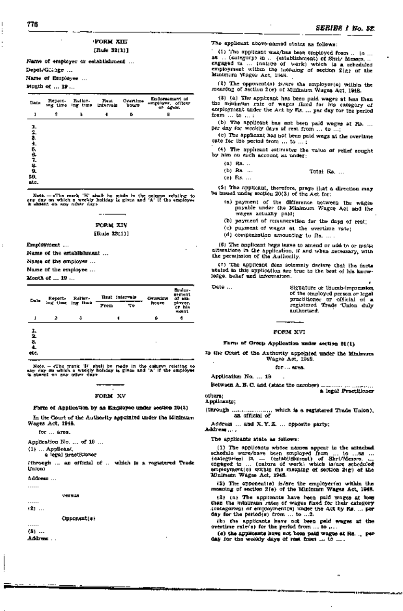# <FORM XIII [Rule 32(1)]

Name of employer or establishment ...

Depot/Gc::3ge ...

Name of Employee ...

Month of •.. 19 ...

| Tinta                        | Report- Reliav- Real<br>ing three ing time intervals |   | Overdox<br>1090 | Emdorsement of<br>employer, officer<br>or agent |
|------------------------------|------------------------------------------------------|---|-----------------|-------------------------------------------------|
| ı                            | \$<br>¥.                                             | 4 | ь               | Β                                               |
| J.<br>工艺生成设工格区<br>20.<br>ыc. |                                                      |   |                 |                                                 |

Note. - eThe mark 'H' shall be made in the column relating to any day on which a weekly holiday is given and 'A' if the employee is absent on any other day».

# FORM XIV [Rule 32(1)]

Employment ...

Name of the establishment ...

Name of the employer ...

Name of the employee ...

Month of ... 19 ...

| Date:                       | Report | Ralier,<br>ing these ing thus | Rest intervals<br>Frm<br>ፕዮ | <b>Dreeding</b><br>houze | Emiler-<br><b>sement</b><br>of am-<br>player.<br>er bla<br>нюепі |
|-----------------------------|--------|-------------------------------|-----------------------------|--------------------------|------------------------------------------------------------------|
| $\mathbf{I}$                | 2      | s                             | 1                           | ú                        | đ                                                                |
| ı.<br>$\frac{2}{3}$<br>etc. |        |                               |                             | ٠                        |                                                                  |

Note. - eThe mark 'H' shall be roads in the column relating to any day on which a weekly holiday is. given and 'A' if the employee is absent on any other days

# FORM XV

#### Form of Application by an Employee under section 20(2)

In the Court of the Authority appointed under the Minimum Wages Act, 1948.

for ... area.

Application No. ... of 19 ...

(1) ... Applicant,

a, legal practitioner

(through ... an official of ... which is a registered Trade Union)

Address ...

versus

. . . . . .  $(2)$  ...

. . . . . .

Opponent(s)

 $(3)$  ... Address .. , The applicant above-named states as follows:

. '(1) The applicant was/has been employed from ... to .. . as ... (category) in ... (establishment) of Shri/ Messrs ... . engaged in ... (nature of work) which is a scheduled employment within the meaning of section 2(g) of the Minimum Wages Act, 1948.

(2) The opponential is/are the employer(s) within the mea:nin~ of section 2(e) of Minimum Wages Act, '1948.

(3) (a) The applicant has been paid wages at less than the minimum rate of wages fixed for his category of employment under the Act by Rs .... per day for the period from ... to ... ;

(b) The applicant has not been paid wages at Rs. ... per day for weekly days of rest from ... to ...

 $(c)$  The applicant has not been paid wags at the overtime rate for the period from ... to ...;

(4). The applicant estimates the value of relief sought by him on each account as under:

(a) Rs .. ..

~--------~'-------------------------~.---.----------------------~.----------~---------------------------

- (b) Rs. ... **Total Rs.** ...
- (c) Rs ... .

(5) The applicant, therefore, prays that a direction may be issued under section 20(3) of the Act for:

- (a) payment of the difference between the wages payable under the Minimum Wages Act and the wages actually paid;
- (b) payment of remuneration for the days of rest;
- (c) payment of wages at the overtime rate;
- $(d)$  compensation amounting to Rs. ...

(6) The applicant begs leave. to amend or add to or make alterations in the application, if and when necessary, with the permission of the Authority.

The applicant does solemnly declare that the facts atated in this application are true to the best of his knowledge, belief and information.

Date ... Signature or thumb-impression of the employed person or legal practitioner or official of a registered Trade -Union duly authorised. '

# FORM XVI

# Form of Group Application under section 21(1)

In the Court of the Authority appointed under the Minimum Wages Act, 1948.

 $for... area.$ 

Application No. ... 19

Between A. B. C. and {state the number) ............................ . - . a legal Practitioner others;

## Applicants;

(through  $\dots\dots\dots\dots\dots$  which is a registered Trade Union). an official of

Address, .. and X. Y. Z .... opposite party; Address ....

The applicants state as follows:

(1) The applicants whose names appear in the attached schedule were/have been employed from ... to .... as ...<br>(categories) in, ... (establishment) of Shri/Messrs. ...<br>engaged in ... (nature of work) which is/are scheduled employment(s) within the meaning of section 2(g) of the Minimum Wages Act, 1948.

(2) The opponentie) is/are the employer(s) within the meaning of section 2(e) of the Minimum Wages Act, *194B.* 

(3) (a) The applicants have been paid wages at less than the minimum rates of wages fixed for their category (categories) of employment(s) under the Act by Rs. ... per day for the period(s) from ... to ... 2.

(b) the applicants have not been paid wages at the overtime ratefs) for the period from ... to ,...

(c) the applicants have not been paid wages at Rs. .. per day for the weekly days of rest from ... to ....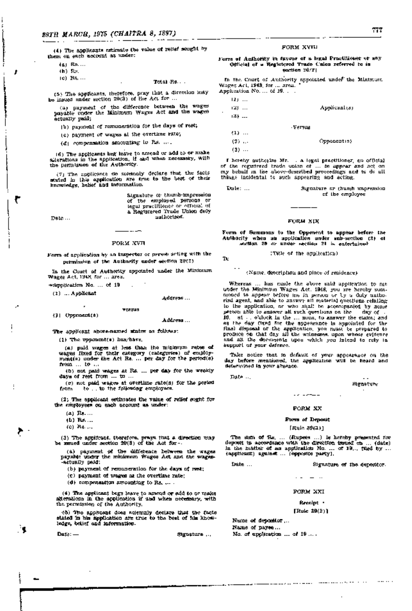(4) The applicants estimate the value of relief sought by them on each account as under:

(a) Rs ... .

(b) Rs.<br>(c) Rs, ...

#### Total Rs. ..

(5) The applicants, therefore, pray that a direction may be issued under section 20(3) of the Act for ...

'ea) payment of the difference between the wages payable' under the Minimum Wages Act and the wages actually paid;

(b) payment of remuneration for the days of rest;

(c) payment of wages at the overtime rate;

 $(d)$  compensation amounting to Rs. ....

'(6) The applicants beg leave to amend or add to or ma.ke alterations in the application, if and when necessary, with the permission of the AuthOrity.

 $(7)$  The applicants do solemnly declare that the facts stated in this application are true to the best of their knowledge, helief and information.

> Signature or. thumb-impression of the employed persons or legal practitioner or' official of a Registered Trade Union duly authorised.

Date ...

#### FORM xvn

 $-$ 

Form of application by an Inspector or person acting with the permission of the Authority under section 20(2)

In the 'Court of Authority appointed under the MinimUm Wages Act, 1948, for ... area.

4l)~pplicatdQIl No. ". of 19

 $(1)$  ... Applicant

#### Address ...

versus (1) Opporumt(s)

#### Address ...

The applicant above-named states as follows:

(1) The opponent(s) has/have,

(a) paid wages at less than the minimum rates of wages fixed for their category ( categories) of employ-<br>ment(s) under the Act Rs. ... per day for the period(s) from ... to ....

(b) not paid wages at Rs. ... per day for the weekly days of rest from .... to .. ,

(c) not paid wages at overtime rate(8) for the period from '" to '. to the following employees.

(2) The applicant estimates the value of relief soght for the employees on each account as under:

 $(a)$   $R_2$ ....

 $(b)$  Rs  $\ldots$ 

(c) Rs .. ,.

(3) The applicant, therefore, prays that a direction may be issued under section  $20(3)$  of the Act for-

,(a) payment 9f the difference between the wages payable under the minimum Wages Act and the wages-...actually paid;

 $(b)$  payment of remuneration for the days of rest;

(c) payment of wages at the overtime rate;

 $(d)$  compensation amounting to Rs.  $\ldots$ 

(4) The applicant begs leave to amend or add to or make alterations in the application if and when necessary, with the permission of the Authority.

i(5) The applicant does solemnly declare that the foots stated in his application are true to the best of his knowledge, belief and information.

-

Da~:-,.. Sdgnature ...

#### FORM XVIII

#### Form of Authority in favour of a legal Practitioner or any Official of a Registered Trade Union referred to in section 20(2)

In the Court of Authority appointed under the Minimum Wages Act, 1948, for ... area. •<br>Application No. ... of 19, ... .

| 121   |          |               |
|-------|----------|---------------|
| لقا   |          | Applicant (s) |
| 18)   |          |               |
|       | - Гетчин |               |
| $(1)$ |          |               |
| $(2)$ |          | Opponentin)   |
| $(3)$ |          |               |
|       |          |               |

I hereby authorise Mr. , a legal practitioner, an official of the registered trade union of ... to appear and act on my behalf in the above-described proceedings and to do all things incidental to such, appearing and acting.

| Date: | Signature or thumb impersion |
|-------|------------------------------|
|       | of the employee              |

#### FORM XIX

Form of Summons to the Opponent to appear before the Authority when an application under sub-section (2) of section 20 or under section 21 is entertained

(Title of the application)

To

(Name, description and place of residence)

'Whereas ,.. has made the above said application to me under the Minimum Wages Act, 1948, you are hereby sum- moned to appear before me in person or by a duly authorisdagent, and able to answer all material questions relating to the application, or who sitall be accompanied by some person able to answer all such questions on the ... day of ... 19 ... at ... o'clock in the ... noon, to answer the claim; and as the day fixed for the appearance is appointed for the final disposal of the application, you must be prepared to produce on that day adl the witnesses, upon whose evidence and all the documents upon which you intend to rely in support of your defence.

Take notice that in default of your appearance on the day before mentioned, the application will be heard and determined in your absence.

Date ...

**Bignature** 

#### FORM XX

a a la comunicación

#### Form of Deposit

#### [Rule 39(2)]

The sum of  $Ra$ , ... (Rupees ...) is hereby presented for deposit in accordance with the direction issued on ... (date) in the matter of an application No. ... of 19... filed by ... (applicant) against ... (opposite party).

Date ...

Signature of the depositor.

FORM XXI

#### Receipt •

[Rule 39(2)]

Name of depositor ... Name of payee ...

No. of application ... of 19 ... .